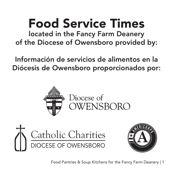# Food Service Times

located in the Fancy Farm Deanery of the Diocese of Owensboro provided by:

Información de servicios de alimentos en la Diócesis de Owensboro proporcionados por:







Food Pantries & Soup Kitchens for the Fancy Farm Deanery | 1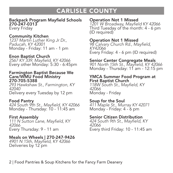## CARLISLE COUNTY

#### Backpack Program Mayfield Schools 270-247-0313 Every Friday

#### Community Kitchen

1237 Martin Luther King Jr Dr., Paducah, KY 42001 Monday - Friday: 11 am - 1 pm

Enon Baptist Church 2567 KY 339, Mayfield, KY 42066 Every other Monday: 5:30 - 6:45pm

#### Farmington Baptist Because We Care/WMU Food Ministry 270-705-5388

293 Hawkshaw St., Farmington, KY 42040 Delivery every Tuesday by 12 pm

#### Food Pantry

424 South 9th St., Mayfield, KY 42066 Monday - Thursday: 10 - 11:45 am

#### First Assembly

111 N Sutton Lane, Mayfield, KY 42066 Every Thursday: 9 - 11 am

#### Meals on Wheels | 270-247-9426

4901 N 15th, Mayfield, KY 42066 Deliveries by 12 pm

#### Operation Not 1 Missed

1201 W Broadway, Mayfield KY 42066 Third Tuesday of the month: 4 - 6 pm (ID required)

#### Operation Not 1 Missed

98 Calvary Church Rd., Mayfield, KY42066 Every Friday: 4 - 6 pm (ID required)

#### Senior Center Congregate Meals

901 North 15th St., Mayfield, KY 42066 Monday - Thursday: 11 am - 12:15 pm

#### YMCA Summer Food Program at First Baptist Church

118W South St., Mayfield, KY 42066 Monday - Friday

#### Soup for the Soul

411 Maple St., Murray KY 42071 Monday - Friday: 4 - 6 pm

#### Senior Citizen Distribution

424 South 9th St., Mayfield, KY 42066 Every third Friday: 10 - 11:45 am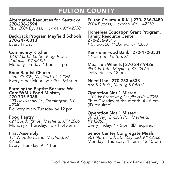## FULTON COUNTY

#### Alternative Resources for Kentucky 270-236-2594

Rt.1, 2004 Bypass, Hickman, KY 42050

#### Backpack Program Mayfield Schools 270-247-0313 Every Friday

Community Kitchen

1237 Martin Luther King Jr Dr., Paducah, KY 42001 Monday - Friday: 11 am - 1 pm

#### Enon Baptist Church

2567 KY 339, Mayfield, KY 42066 Every other Monday: 5:30 - 6:45pm

#### Farmington Baptist Because We Care/WMU Food Ministry 270-705-5388

293 Hawkshaw St., Farmington, KY 42040 Delivery every Tuesday by 12 pm

#### Food Pantry

424 South 9th St., Mayfield, KY 42066 Monday - Thursday: 10 - 11:45 am

#### First Assembly 111 N Sutton Lane, Mayfield, KY 42066 Every Thursday: 9 - 11 am

Fulton County A.R.K. | 270- 236-3480 2004 Bypass, Hickman, KY 42050

Homeless Education Grant Program, Family Resource Center 270-236-9515 P.O. Box 50, Hickman, KY 42050

Ken-Tenn Food Bank | 270-472-3531 11 Carr St., Fulton, KY

Meals on Wheels | 270-247-9426 4901 N 15th, Mayfield, KY 42066 Deliveries by 12 pm

#### Need Line | 270-753-6333

638 S 4th St., Murray, KY 42071

#### Operation Not 1 Missed

1201 W Broadway, Mayfield KY 42066 Third Tuesday of the month: 4 - 6 pm (ID required)

#### Operation Not 1 Missed

98 Calvary Church Rd., Mayfield, KY42066 Every Friday: 4 - 6 pm (ID required)

#### Senior Center Congregate Meals

901 North 15th St., Mayfield, KY 42066 Monday - Thursday: 11 am - 12:15 pm